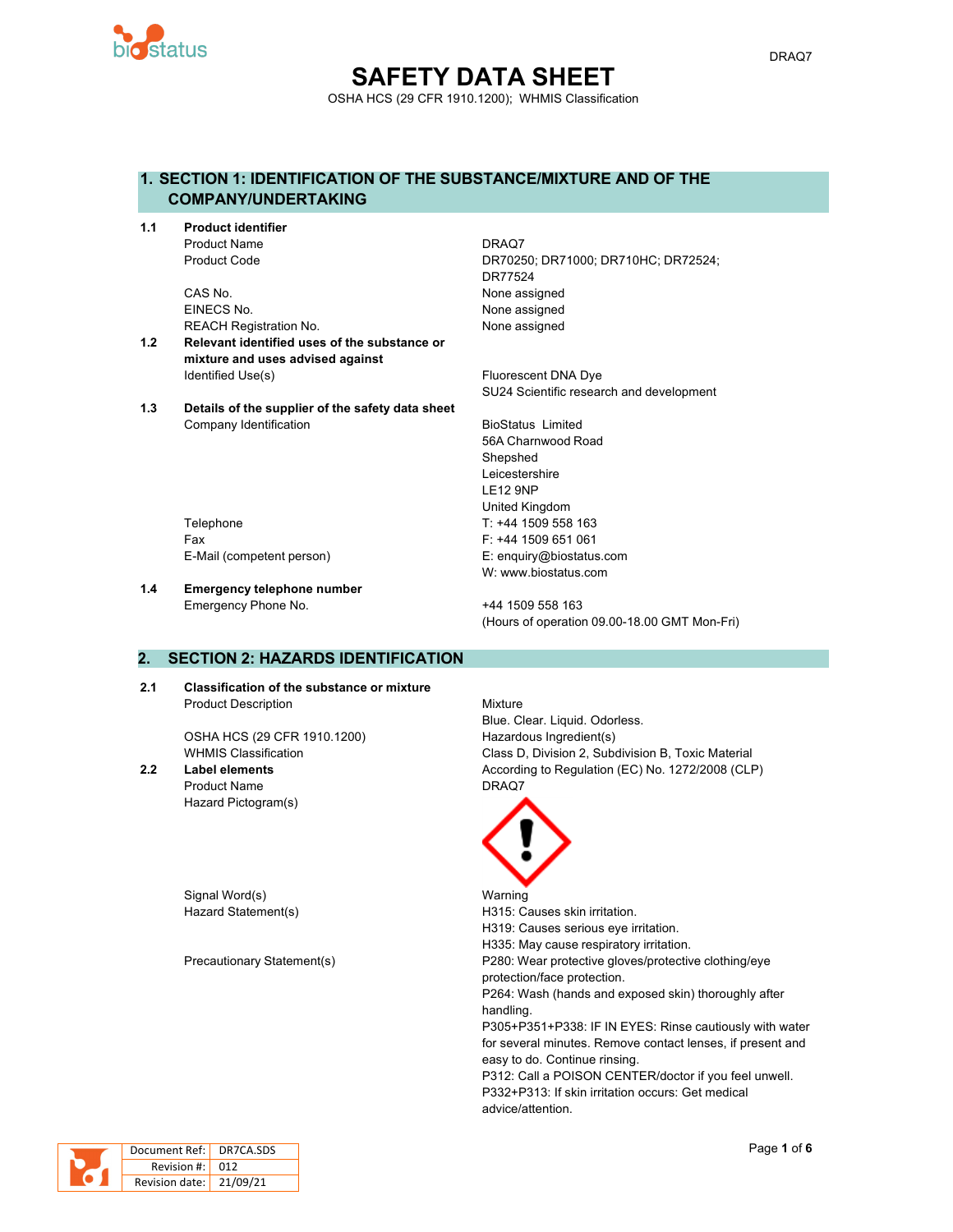

## **SAFETY DATA SHEET** OSHA HCS (29 CFR 1910.1200); WHMIS Classification

## **1. SECTION 1: IDENTIFICATION OF THE SUBSTANCE/MIXTURE AND OF THE COMPANY/UNDERTAKING**

**1.1 Product identifier** Product Name DRAQ7

> CAS No. 2008 2012 12:30 None assigned EINECS No. None assigned REACH Registration No. None assigned

- **1.2 Relevant identified uses of the substance or mixture and uses advised against** Identified Use(s) The Contract Contract Contract Contract Contract Contract Contract Contract Contract Contract Contract Contract Contract Contract Contract Contract Contract Contract Contract Contract Contract Contract Co
- **1.3 Details of the supplier of the safety data sheet** Company Identification **BioStatus Limited** BioStatus Limited

Product Code DR70250; DR71000; DR710HC; DR72524; DR77524

SU24 Scientific research and development

56A Charnwood Road **Shepshed** Leicestershire LE12 9NP United Kingdom Telephone Telephone T: +44 1509 558 163 Fax F: +44 1509 651 061 E-Mail (competent person) E: enquiry@biostatus.com W: www.biostatus.com

**1.4 Emergency telephone number**

Emergency Phone No. 444 1509 558 163 (Hours of operation 09.00-18.00 GMT Mon-Fri)

## **2. SECTION 2: HAZARDS IDENTIFICATION**

**2.1 Classification of the substance or mixture** Product Description Mixture

OSHA HCS (29 CFR 1910.1200) Hazardous Ingredient(s)

Product Name DRAQ7 Hazard Pictogram(s)

Signal Word(s) National Warning

Blue. Clear. Liquid. Odorless. WHMIS Classification Class D, Division 2, Subdivision B, Toxic Material **2.2 Label elements** According to Regulation (EC) No. 1272/2008 (CLP)



Hazard Statement(s) example a H315: Causes skin irritation. H319: Causes serious eye irritation. H335: May cause respiratory irritation. Precautionary Statement(s) P280: Wear protective gloves/protective clothing/eye protection/face protection. P264: Wash (hands and exposed skin) thoroughly after handling. P305+P351+P338: IF IN EYES: Rinse cautiously with water for several minutes. Remove contact lenses, if present and easy to do. Continue rinsing. P312: Call a POISON CENTER/doctor if you feel unwell. P332+P313: If skin irritation occurs: Get medical advice/attention.



| Document Ref: DR7CA.SDS   |  |
|---------------------------|--|
| Revision #: 012           |  |
| Revision date:   21/09/21 |  |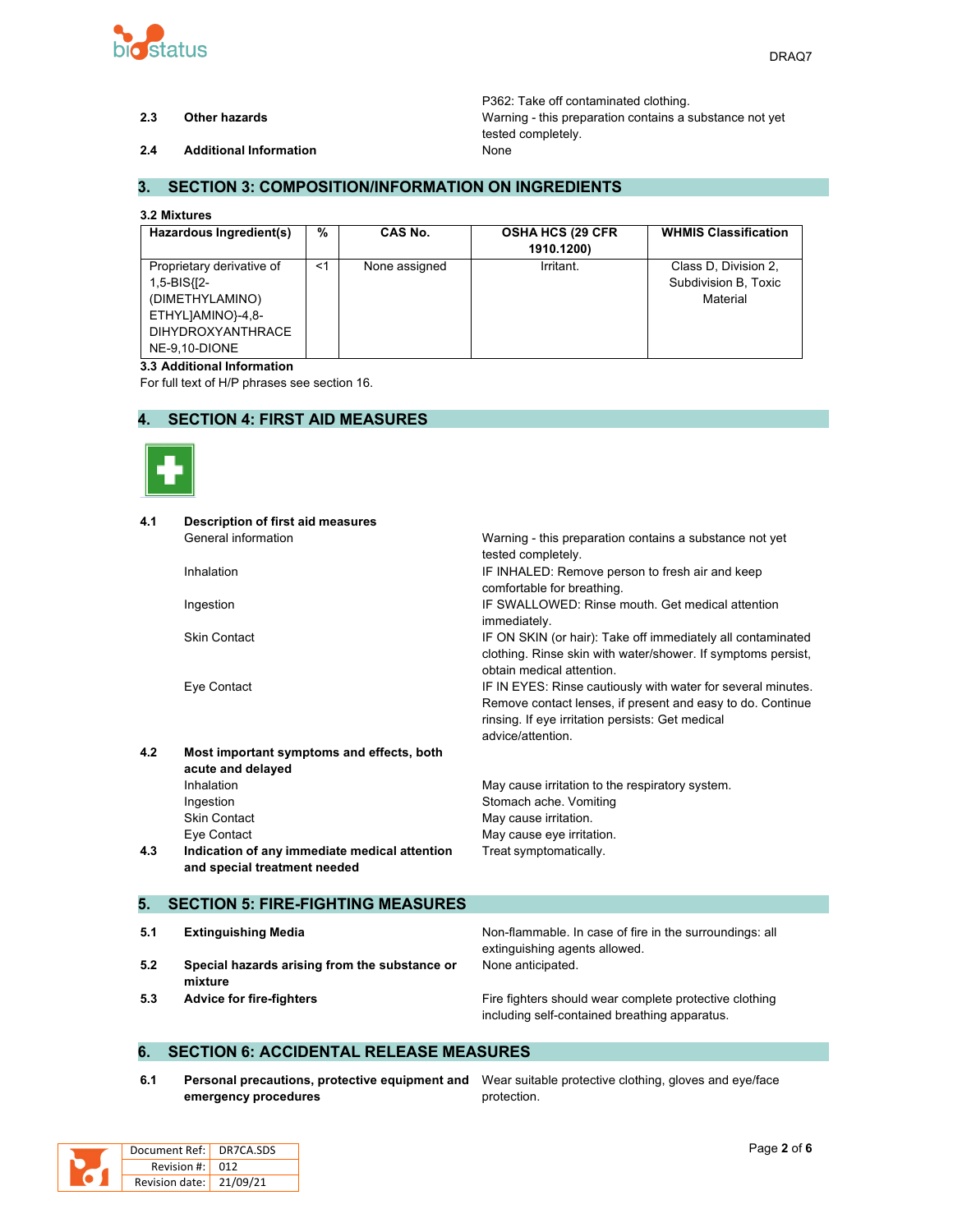

P362: Take off contaminated clothing. **2.3 Other hazards** Warning - this preparation contains a substance not yet tested completely.

**2.4 Additional Information** None

### **3. SECTION 3: COMPOSITION/INFORMATION ON INGREDIENTS**

#### **3.2 Mixtures**

| Hazardous Ingredient(s)                                                                                                       | %     | CAS No.       | <b>OSHA HCS (29 CFR)</b><br>1910.1200) | <b>WHMIS Classification</b>                              |
|-------------------------------------------------------------------------------------------------------------------------------|-------|---------------|----------------------------------------|----------------------------------------------------------|
| Proprietary derivative of<br>1,5-BIS{[2-<br>(DIMETHYLAMINO)<br>ETHYLJAMINO}-4,8-<br><b>DIHYDROXYANTHRACE</b><br>NE-9.10-DIONE | $<$ 1 | None assigned | Irritant.                              | Class D. Division 2,<br>Subdivision B, Toxic<br>Material |

#### **3.3 Additional Information**

For full text of H/P phrases see section 16.

### **4. SECTION 4: FIRST AID MEASURES**



| 4.1 | <b>Description of first aid measures</b>      |                                                              |
|-----|-----------------------------------------------|--------------------------------------------------------------|
|     | General information                           | Warning - this preparation contains a substance not yet      |
|     |                                               | tested completely.                                           |
|     | Inhalation                                    | IF INHALED: Remove person to fresh air and keep              |
|     |                                               | comfortable for breathing.                                   |
|     | Ingestion                                     | IF SWALLOWED: Rinse mouth, Get medical attention             |
|     |                                               | immediately.                                                 |
|     | <b>Skin Contact</b>                           | IF ON SKIN (or hair): Take off immediately all contaminated  |
|     |                                               | clothing. Rinse skin with water/shower. If symptoms persist, |
|     |                                               | obtain medical attention.                                    |
|     | Eye Contact                                   | IF IN EYES: Rinse cautiously with water for several minutes. |
|     |                                               | Remove contact lenses, if present and easy to do. Continue   |
|     |                                               | rinsing. If eye irritation persists: Get medical             |
|     |                                               | advice/attention.                                            |
| 4.2 | Most important symptoms and effects, both     |                                                              |
|     | acute and delayed                             |                                                              |
|     | Inhalation                                    | May cause irritation to the respiratory system.              |
|     | Ingestion                                     | Stomach ache. Vomiting                                       |
|     | <b>Skin Contact</b>                           | May cause irritation.                                        |
|     | Eye Contact                                   | May cause eye irritation.                                    |
| 4.3 | Indication of any immediate medical attention | Treat symptomatically.                                       |
|     | and special treatment needed                  |                                                              |
|     |                                               |                                                              |
| 5.  | <b>SECTION 5: FIRE-FIGHTING MEASURES</b>      |                                                              |
|     |                                               |                                                              |
| 5.1 | <b>Extinguishing Media</b>                    | Non-flammable. In case of fire in the surroundings: all      |

- **5.2 Special hazards arising from the substance or mixture**
- 

extinguishing agents allowed. None anticipated.

**5.3 Advice for fire-fighters Fire fighters** Fire fighters should wear complete protective clothing including self-contained breathing apparatus.

#### **6. SECTION 6: ACCIDENTAL RELEASE MEASURES**

**6.1 Personal precautions, protective equipment and** Wear suitable protective clothing, gloves and eye/face **emergency procedures**

protection.

| Document Ref: DR7CA.SDS |  |
|-------------------------|--|
| Revision #: 012         |  |
| Revision date: 21/09/21 |  |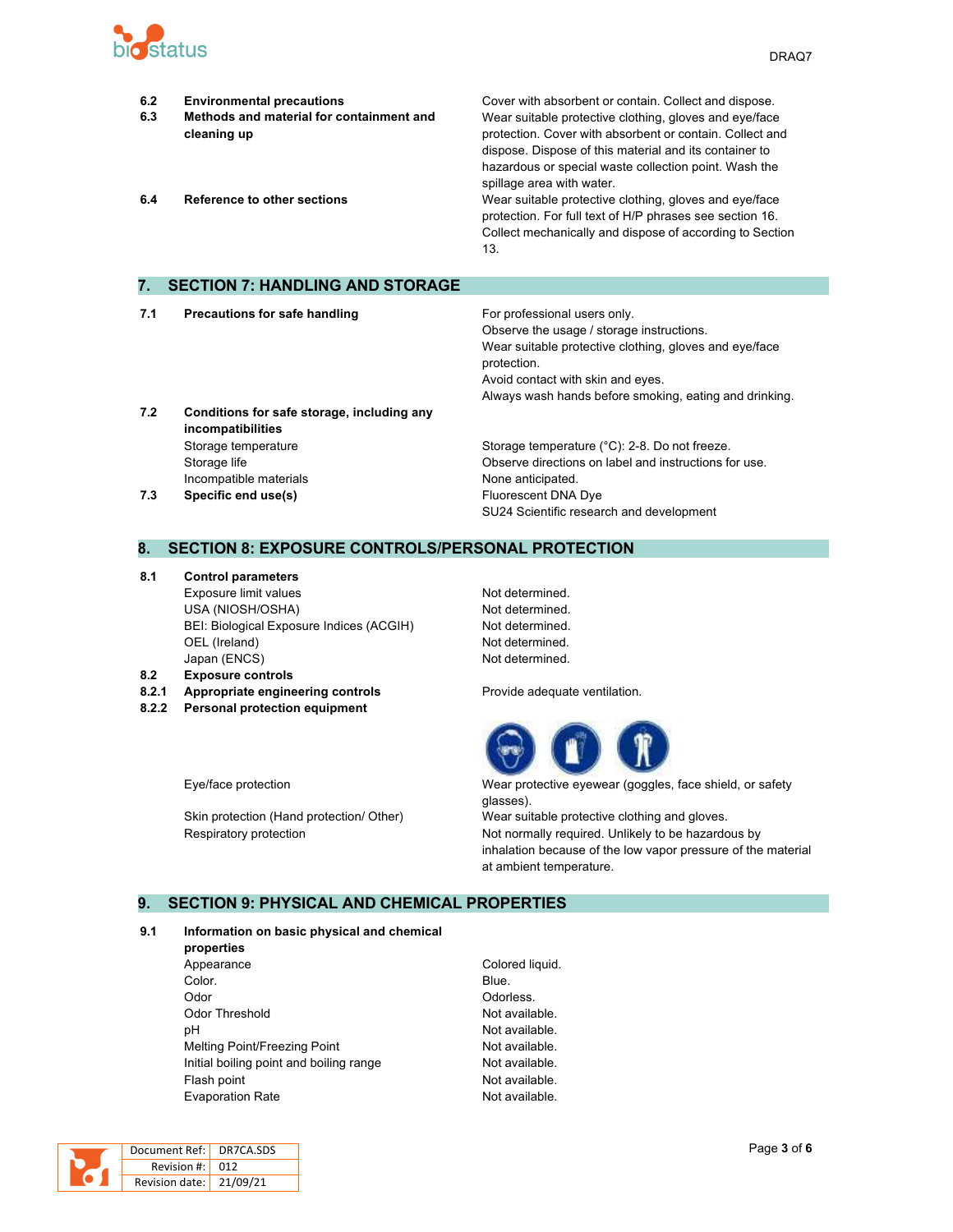

- **6.2 Environmental precautions** Cover with absorbent or contain. Collect and dispose. **6.3 Methods and material for containment and cleaning up** Wear suitable protective clothing, gloves and eye/face protection. Cover with absorbent or contain. Collect and dispose. Dispose of this material and its container to hazardous or special waste collection point. Wash the spillage area with water. **6.4 Reference to other sections** Wear suitable protective clothing, gloves and eye/face protection. For full text of H/P phrases see section 16. Collect mechanically and dispose of according to Section 13. **7. SECTION 7: HANDLING AND STORAGE 7.1 Precautions for safe handling For professional users only.** Observe the usage / storage instructions. Wear suitable protective clothing, gloves and eye/face
- **7.2 Conditions for safe storage, including any incompatibilities** Storage temperature **Storage temperature (°C): 2-8. Do not freeze.** Storage temperature (°C): 2-8. Do not freeze. Incompatible materials **None anticipated**.

# Storage life Observe directions on label and instructions for use. **7.3 Specific end use(s) Eluorescent DNA Dye** SU24 Scientific research and development

Always wash hands before smoking, eating and drinking.

Avoid contact with skin and eyes.

#### **8. SECTION 8: EXPOSURE CONTROLS/PERSONAL PROTECTION**

**8.1 Control parameters** Exposure limit values Not determined. USA (NIOSH/OSHA) Not determined. BEI: Biological Exposure Indices (ACGIH) Not determined. OEL (Ireland) Not determined. Japan (ENCS) Not determined.

**8.2 Exposure controls**

- 
- **8.2.2 Personal protection equipment**

protection.

**8.2.1 Appropriate engineering controls Provide adequate ventilation.** 



Eye/face protection Wear protective eyewear (goggles, face shield, or safety glasses).

Skin protection (Hand protection/ Other) Wear suitable protective clothing and gloves. Respiratory protection **Not normally required.** Unlikely to be hazardous by inhalation because of the low vapor pressure of the material at ambient temperature.

#### **9. SECTION 9: PHYSICAL AND CHEMICAL PROPERTIES**

#### **9.1 Information on basic physical and chemical**

- **properties** Appearance Colored liquid. Color. Blue. Odor **Odor** Odorless. Odor Threshold **Not available.** Not available. pH  $\blacksquare$ Melting Point/Freezing Point Not available. Initial boiling point and boiling range Not available. Flash point **Not available.** Evaporation Rate **Not available**.
	-

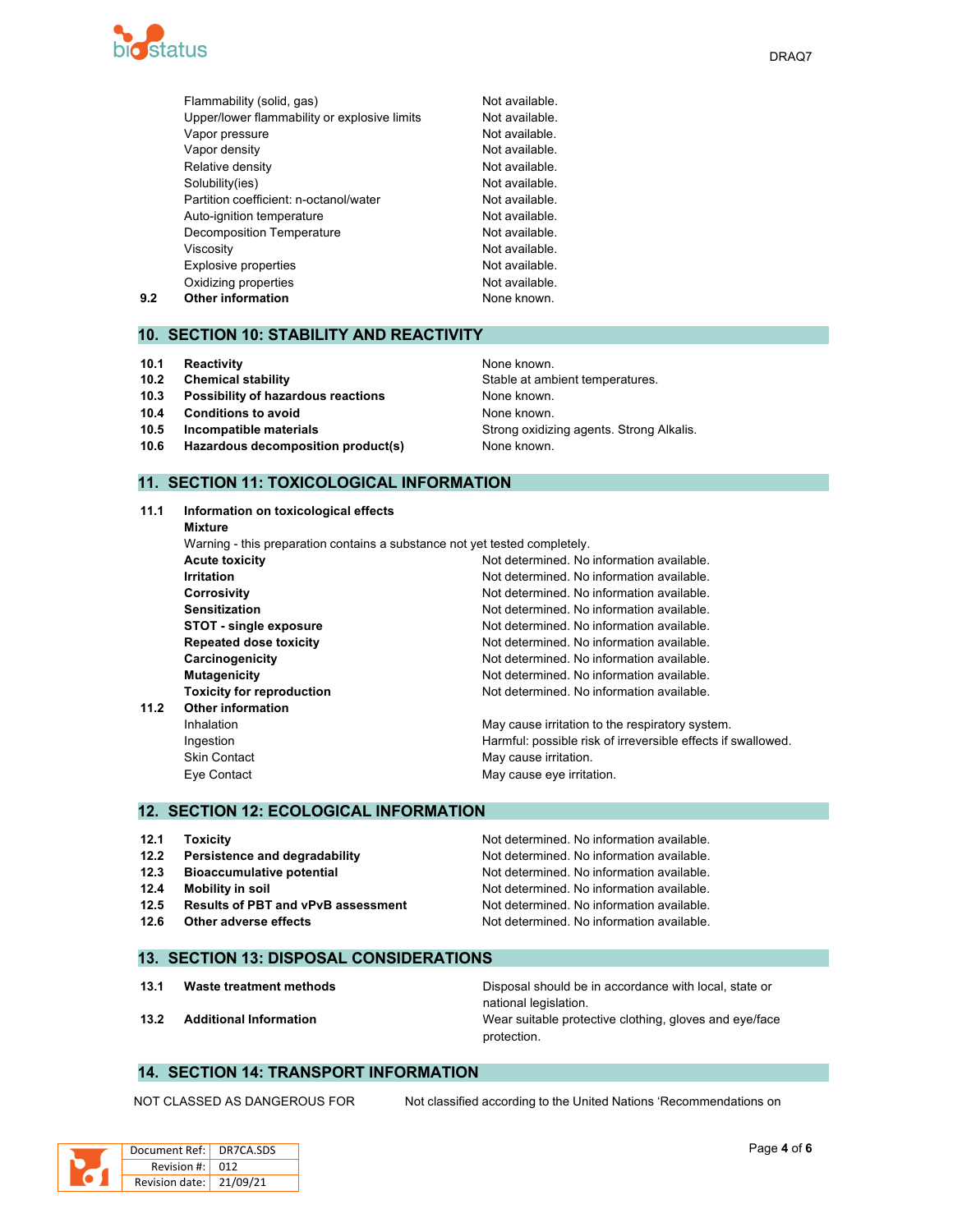

|     | Flammability (solid, gas)                    | Not available. |
|-----|----------------------------------------------|----------------|
|     | Upper/lower flammability or explosive limits | Not available. |
|     | Vapor pressure                               | Not available. |
|     | Vapor density                                | Not available. |
|     | Relative density                             | Not available. |
|     | Solubility(ies)                              | Not available. |
|     | Partition coefficient: n-octanol/water       | Not available. |
|     | Auto-ignition temperature                    | Not available. |
|     | Decomposition Temperature                    | Not available. |
|     | Viscosity                                    | Not available. |
|     | <b>Explosive properties</b>                  | Not available. |
|     | Oxidizing properties                         | Not available. |
| 9.2 | <b>Other information</b>                     | None known.    |
|     |                                              |                |

#### **10. SECTION 10: STABILITY AND REACTIVITY**

- **10.1 Reactivity None known. None known.**
- **10.2 Chemical stability** Stable at ambient temperatures.
- **10.3 Possibility of hazardous reactions** None known.
- **10.4 Conditions to avoid None known.**
- **10.5 Incompatible materials 10.5 Incompatible materials** Strong **Strong oxidizing agents. Strong Alkalis.**
- **10.6 Hazardous decomposition product(s)** None known.

## **11. SECTION 11: TOXICOLOGICAL INFORMATION**

**11.1 Information on toxicological effects Mixture** Warning - this preparation contains a substance not yet tested completely. **Acute toxicity Not determined.** No information available. **Irritation Irritation Irritation In In In In In In In In In In In In In In In In In In In In In In In I Corrosivity** Corrosivity **Not determined.** No information available. **Sensitization Not determined. No information available.** Not determined. No information available. **STOT** - single exposure **Not determined.** No information available. **Repeated dose toxicity Not determined. No information available. Carcinogenicity Carcinogenicity Not determined. No information available. Mutagenicity Mutagenicity Mutagenicity Mutagenicity Mutagenicity Mutagenicity Mutagenicity Mutagenicity Mutagenicity Mutagenicity Mutagenicity Mutagenicity Mutagenicity Mutagenicity Mutagenicit Toxicity for reproduction** Not determined. No information available. **11.2 Other information** Inhalation **May cause irritation to the respiratory system.** May cause irritation to the respiratory system. Ingestion **Interpretent in the Harmful:** possible risk of irreversible effects if swallowed. Skin Contact **May cause irritation.** May cause irritation. Eye Contact **May cause eye irritation**.

#### **12. SECTION 12: ECOLOGICAL INFORMATION**

| 12.1 | <b>Toxicity</b>                           | Not determined. No information available. |
|------|-------------------------------------------|-------------------------------------------|
| 12.2 | Persistence and degradability             | Not determined. No information available. |
| 12.3 | <b>Bioaccumulative potential</b>          | Not determined. No information available. |
| 12.4 | Mobility in soil                          | Not determined. No information available. |
| 12.5 | <b>Results of PBT and vPvB assessment</b> | Not determined. No information available. |
| 12.6 | Other adverse effects                     | Not determined. No information available. |

#### **13. SECTION 13: DISPOSAL CONSIDERATIONS**

**13.1 Waste treatment methods** Disposal should be in accordance with local, state or national legislation. **13.2 Additional Information** Wear suitable protective clothing, gloves and eye/face protection.

#### **14. SECTION 14: TRANSPORT INFORMATION**

DR7CA.SDS 012 Revision date: 21/09/21

NOT CLASSED AS DANGEROUS FOR Not classified according to the United Nations 'Recommendations on

| Document Ref         |
|----------------------|
| Revision #           |
| <b>Revision date</b> |

 $DRAO7$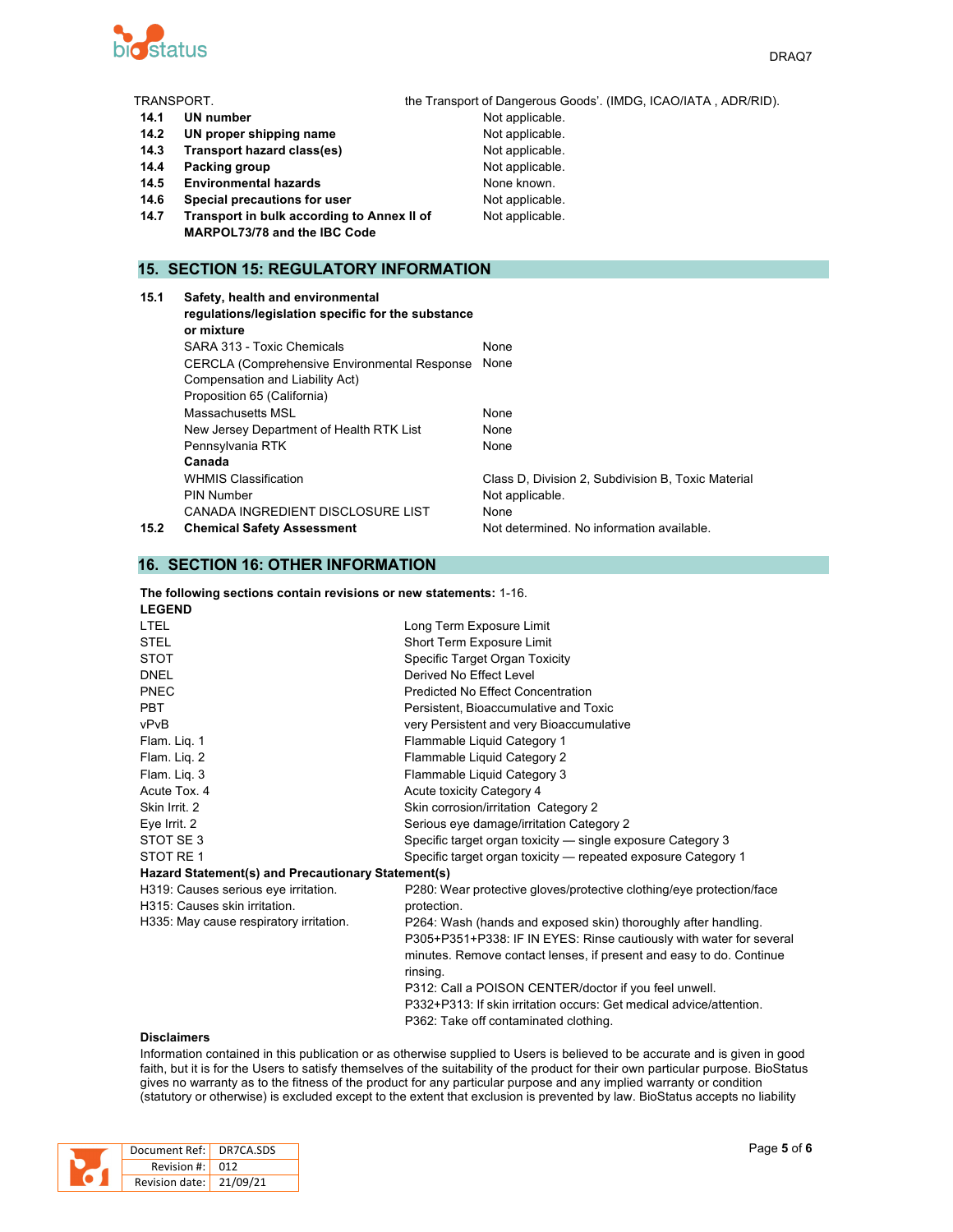

| TRANSPORT. |                                                     | the Transport of Dangerous Goods'. (IMDG, ICAO/IATA, ADR/RID). |
|------------|-----------------------------------------------------|----------------------------------------------------------------|
| 14.1       | UN number                                           | Not applicable.                                                |
| 14.2       | UN proper shipping name                             | Not applicable.                                                |
| 14.3       | Transport hazard class(es)                          | Not applicable.                                                |
| 14.4       | Packing group                                       | Not applicable.                                                |
| 14.5       | <b>Environmental hazards</b>                        | None known.                                                    |
| 14.6       | Special precautions for user                        | Not applicable.                                                |
| 14.7       | Transport in bulk according to Annex II of          | Not applicable.                                                |
|            | MARPOL73/78 and the IBC Code                        |                                                                |
|            |                                                     |                                                                |
|            | <b>15. SECTION 15: REGULATORY INFORMATION</b>       |                                                                |
| 15.1       | Safety, health and environmental                    |                                                                |
|            | regulations/legislation specific for the substance  |                                                                |
|            | or mixture                                          |                                                                |
|            | SARA 313 - Toxic Chemicals                          | None                                                           |
|            | <b>CERCLA (Comprehensive Environmental Response</b> | None                                                           |
|            | Compensation and Liability Act)                     |                                                                |
|            | Proposition 65 (California)                         |                                                                |
|            |                                                     |                                                                |

WHMIS Classification **Class D**, Division 2, Subdivision B, Toxic Material

**15.2 Chemical Safety Assessment** Not determined. No information available.

**16. SECTION 16: OTHER INFORMATION**

**Canada**

**The following sections contain revisions or new statements:** 1-16. **LEGEND**

Massachusetts MSL None New Jersey Department of Health RTK List None Pennsylvania RTK None

PIN Number Not applicable. CANADA INGREDIENT DISCLOSURE LIST None

| LEGEND                                             |                                                                      |
|----------------------------------------------------|----------------------------------------------------------------------|
| <b>LTEL</b>                                        | Long Term Exposure Limit                                             |
| <b>STEL</b>                                        | Short Term Exposure Limit                                            |
| <b>STOT</b>                                        | Specific Target Organ Toxicity                                       |
| <b>DNEL</b>                                        | Derived No Effect Level                                              |
| PNEC                                               | Predicted No Effect Concentration                                    |
| <b>PBT</b>                                         | Persistent, Bioaccumulative and Toxic                                |
| vPvB                                               | very Persistent and very Bioaccumulative                             |
| Flam. Lig. 1                                       | Flammable Liquid Category 1                                          |
| Flam. Lig. 2                                       | Flammable Liquid Category 2                                          |
| Flam. Lig. 3                                       | Flammable Liquid Category 3                                          |
| Acute Tox, 4                                       | Acute toxicity Category 4                                            |
| Skin Irrit. 2                                      | Skin corrosion/irritation Category 2                                 |
| Eye Irrit. 2                                       | Serious eye damage/irritation Category 2                             |
| STOT SE3                                           | Specific target organ toxicity — single exposure Category 3          |
| STOT RE 1                                          | Specific target organ toxicity — repeated exposure Category 1        |
| Hazard Statement(s) and Precautionary Statement(s) |                                                                      |
| H319: Causes serious eye irritation.               | P280: Wear protective gloves/protective clothing/eye protection/face |
| H315: Causes skin irritation.                      | protection.                                                          |
| H335: May cause respiratory irritation.            | P264: Wash (hands and exposed skin) thoroughly after handling.       |
|                                                    | P305+P351+P338: IF IN EYES: Rinse cautiously with water for several  |
|                                                    | minutes. Remove contact lenses, if present and easy to do. Continue  |
|                                                    | rinsing.                                                             |
|                                                    | P312: Call a POISON CENTER/doctor if you feel unwell.                |
|                                                    | P332+P313: If skin irritation occurs: Get medical advice/attention.  |
|                                                    | P362: Take off contaminated clothing.                                |
|                                                    |                                                                      |

#### **Disclaimers**

Information contained in this publication or as otherwise supplied to Users is believed to be accurate and is given in good faith, but it is for the Users to satisfy themselves of the suitability of the product for their own particular purpose. BioStatus gives no warranty as to the fitness of the product for any particular purpose and any implied warranty or condition (statutory or otherwise) is excluded except to the extent that exclusion is prevented by law. BioStatus accepts no liability

| Document Ref: DR7CA.SDS |     |
|-------------------------|-----|
| Revision #: L           | 012 |
| Revision date: 21/09/21 |     |